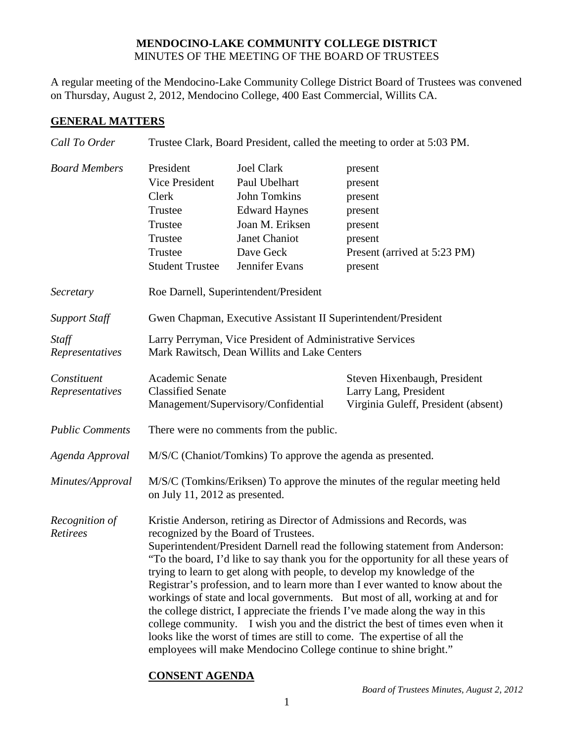## **MENDOCINO-LAKE COMMUNITY COLLEGE DISTRICT** MINUTES OF THE MEETING OF THE BOARD OF TRUSTEES

A regular meeting of the Mendocino-Lake Community College District Board of Trustees was convened on Thursday, August 2, 2012, Mendocino College, 400 East Commercial, Willits CA.

## **GENERAL MATTERS**

| Call To Order                  | Trustee Clark, Board President, called the meeting to order at 5:03 PM.                                                                                                                                                                                                                                                                                                                                                                                                                                                                                                                                                                                                                                                                                                                                                                                |                                                                                                                                                      |                                                                                                           |
|--------------------------------|--------------------------------------------------------------------------------------------------------------------------------------------------------------------------------------------------------------------------------------------------------------------------------------------------------------------------------------------------------------------------------------------------------------------------------------------------------------------------------------------------------------------------------------------------------------------------------------------------------------------------------------------------------------------------------------------------------------------------------------------------------------------------------------------------------------------------------------------------------|------------------------------------------------------------------------------------------------------------------------------------------------------|-----------------------------------------------------------------------------------------------------------|
| <b>Board Members</b>           | President<br>Vice President<br>Clerk<br>Trustee<br>Trustee<br>Trustee<br>Trustee<br><b>Student Trustee</b>                                                                                                                                                                                                                                                                                                                                                                                                                                                                                                                                                                                                                                                                                                                                             | <b>Joel Clark</b><br>Paul Ubelhart<br><b>John Tomkins</b><br><b>Edward Haynes</b><br>Joan M. Eriksen<br>Janet Chaniot<br>Dave Geck<br>Jennifer Evans | present<br>present<br>present<br>present<br>present<br>present<br>Present (arrived at 5:23 PM)<br>present |
| Secretary                      | Roe Darnell, Superintendent/President                                                                                                                                                                                                                                                                                                                                                                                                                                                                                                                                                                                                                                                                                                                                                                                                                  |                                                                                                                                                      |                                                                                                           |
| <b>Support Staff</b>           | Gwen Chapman, Executive Assistant II Superintendent/President                                                                                                                                                                                                                                                                                                                                                                                                                                                                                                                                                                                                                                                                                                                                                                                          |                                                                                                                                                      |                                                                                                           |
| Staff<br>Representatives       | Larry Perryman, Vice President of Administrative Services<br>Mark Rawitsch, Dean Willits and Lake Centers                                                                                                                                                                                                                                                                                                                                                                                                                                                                                                                                                                                                                                                                                                                                              |                                                                                                                                                      |                                                                                                           |
| Constituent<br>Representatives | Academic Senate<br><b>Classified Senate</b>                                                                                                                                                                                                                                                                                                                                                                                                                                                                                                                                                                                                                                                                                                                                                                                                            | Management/Supervisory/Confidential                                                                                                                  | Steven Hixenbaugh, President<br>Larry Lang, President<br>Virginia Guleff, President (absent)              |
| <b>Public Comments</b>         | There were no comments from the public.                                                                                                                                                                                                                                                                                                                                                                                                                                                                                                                                                                                                                                                                                                                                                                                                                |                                                                                                                                                      |                                                                                                           |
| Agenda Approval                | M/S/C (Chaniot/Tomkins) To approve the agenda as presented.                                                                                                                                                                                                                                                                                                                                                                                                                                                                                                                                                                                                                                                                                                                                                                                            |                                                                                                                                                      |                                                                                                           |
| Minutes/Approval               | M/S/C (Tomkins/Eriksen) To approve the minutes of the regular meeting held<br>on July 11, 2012 as presented.                                                                                                                                                                                                                                                                                                                                                                                                                                                                                                                                                                                                                                                                                                                                           |                                                                                                                                                      |                                                                                                           |
| Recognition of<br>Retirees     | Kristie Anderson, retiring as Director of Admissions and Records, was<br>recognized by the Board of Trustees.<br>Superintendent/President Darnell read the following statement from Anderson:<br>"To the board, I'd like to say thank you for the opportunity for all these years of<br>trying to learn to get along with people, to develop my knowledge of the<br>Registrar's profession, and to learn more than I ever wanted to know about the<br>workings of state and local governments. But most of all, working at and for<br>the college district, I appreciate the friends I've made along the way in this<br>college community. I wish you and the district the best of times even when it<br>looks like the worst of times are still to come. The expertise of all the<br>employees will make Mendocino College continue to shine bright." |                                                                                                                                                      |                                                                                                           |

## **CONSENT AGENDA**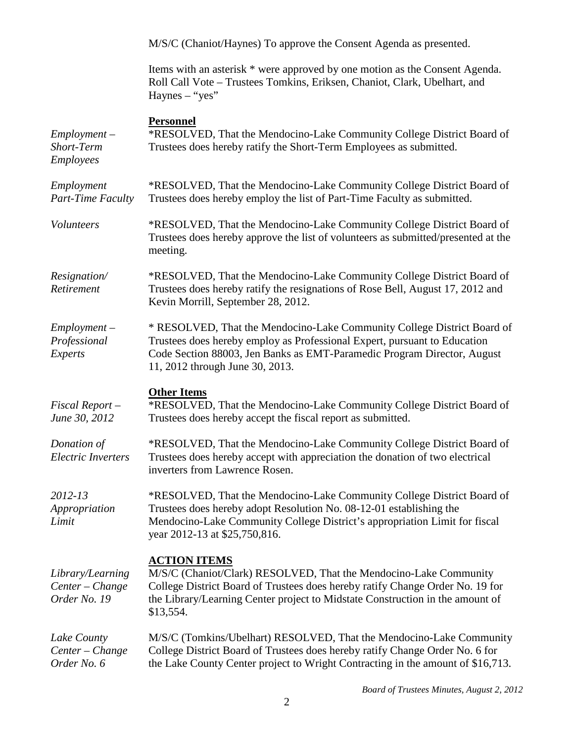|                                                     | M/S/C (Chaniot/Haynes) To approve the Consent Agenda as presented.                                                                                                                                                                                                      |
|-----------------------------------------------------|-------------------------------------------------------------------------------------------------------------------------------------------------------------------------------------------------------------------------------------------------------------------------|
|                                                     | Items with an asterisk * were approved by one motion as the Consent Agenda.<br>Roll Call Vote - Trustees Tomkins, Eriksen, Chaniot, Clark, Ubelhart, and<br>$Haynes - "yes"$                                                                                            |
| $Employment -$<br>Short-Term<br><b>Employees</b>    | <b>Personnel</b><br>*RESOLVED, That the Mendocino-Lake Community College District Board of<br>Trustees does hereby ratify the Short-Term Employees as submitted.                                                                                                        |
| Employment<br>Part-Time Faculty                     | *RESOLVED, That the Mendocino-Lake Community College District Board of<br>Trustees does hereby employ the list of Part-Time Faculty as submitted.                                                                                                                       |
| Volunteers                                          | *RESOLVED, That the Mendocino-Lake Community College District Board of<br>Trustees does hereby approve the list of volunteers as submitted/presented at the<br>meeting.                                                                                                 |
| Resignation/<br>Retirement                          | *RESOLVED, That the Mendocino-Lake Community College District Board of<br>Trustees does hereby ratify the resignations of Rose Bell, August 17, 2012 and<br>Kevin Morrill, September 28, 2012.                                                                          |
| $Employment -$<br>Professional<br>Experts           | * RESOLVED, That the Mendocino-Lake Community College District Board of<br>Trustees does hereby employ as Professional Expert, pursuant to Education<br>Code Section 88003, Jen Banks as EMT-Paramedic Program Director, August<br>11, 2012 through June 30, 2013.      |
| $Fixed$ Report $-$<br>June 30, 2012                 | <b>Other Items</b><br>*RESOLVED, That the Mendocino-Lake Community College District Board of<br>Trustees does hereby accept the fiscal report as submitted.                                                                                                             |
| Donation of<br><b>Electric Inverters</b>            | *RESOLVED, That the Mendocino-Lake Community College District Board of<br>Trustees does hereby accept with appreciation the donation of two electrical<br>inverters from Lawrence Rosen.                                                                                |
| $2012 - 13$<br>Appropriation<br>Limit               | *RESOLVED, That the Mendocino-Lake Community College District Board of<br>Trustees does hereby adopt Resolution No. 08-12-01 establishing the<br>Mendocino-Lake Community College District's appropriation Limit for fiscal<br>year 2012-13 at \$25,750,816.            |
| Library/Learning<br>Center - Change<br>Order No. 19 | <b>ACTION ITEMS</b><br>M/S/C (Chaniot/Clark) RESOLVED, That the Mendocino-Lake Community<br>College District Board of Trustees does hereby ratify Change Order No. 19 for<br>the Library/Learning Center project to Midstate Construction in the amount of<br>\$13,554. |
| Lake County<br>Center - Change<br>Order No. 6       | M/S/C (Tomkins/Ubelhart) RESOLVED, That the Mendocino-Lake Community<br>College District Board of Trustees does hereby ratify Change Order No. 6 for<br>the Lake County Center project to Wright Contracting in the amount of \$16,713.                                 |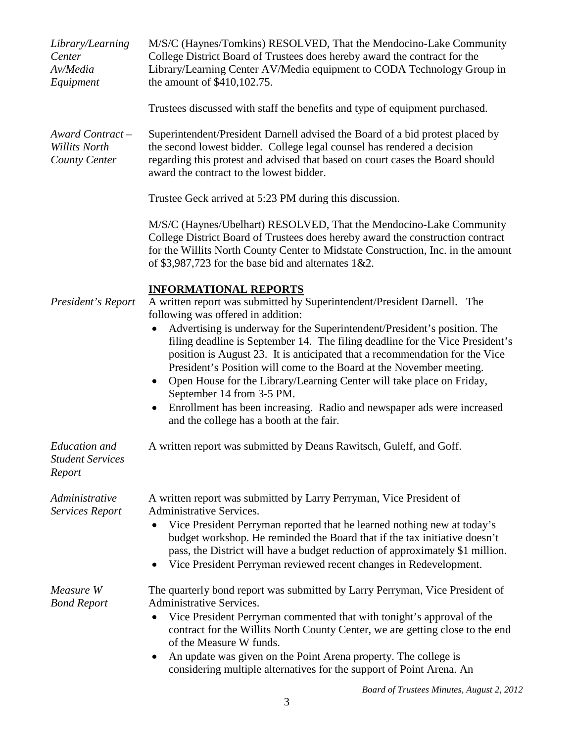| Library/Learning<br>Center<br>Av/Media<br>Equipment       | M/S/C (Haynes/Tomkins) RESOLVED, That the Mendocino-Lake Community<br>College District Board of Trustees does hereby award the contract for the<br>Library/Learning Center AV/Media equipment to CODA Technology Group in<br>the amount of \$410,102.75.                                                                                                                                                                                                                                                                                                                                                                                                                                                   |
|-----------------------------------------------------------|------------------------------------------------------------------------------------------------------------------------------------------------------------------------------------------------------------------------------------------------------------------------------------------------------------------------------------------------------------------------------------------------------------------------------------------------------------------------------------------------------------------------------------------------------------------------------------------------------------------------------------------------------------------------------------------------------------|
|                                                           | Trustees discussed with staff the benefits and type of equipment purchased.                                                                                                                                                                                                                                                                                                                                                                                                                                                                                                                                                                                                                                |
| Award Contract-<br><b>Willits North</b><br>County Center  | Superintendent/President Darnell advised the Board of a bid protest placed by<br>the second lowest bidder. College legal counsel has rendered a decision<br>regarding this protest and advised that based on court cases the Board should<br>award the contract to the lowest bidder.                                                                                                                                                                                                                                                                                                                                                                                                                      |
|                                                           | Trustee Geck arrived at 5:23 PM during this discussion.                                                                                                                                                                                                                                                                                                                                                                                                                                                                                                                                                                                                                                                    |
|                                                           | M/S/C (Haynes/Ubelhart) RESOLVED, That the Mendocino-Lake Community<br>College District Board of Trustees does hereby award the construction contract<br>for the Willits North County Center to Midstate Construction, Inc. in the amount<br>of \$3,987,723 for the base bid and alternates $1&2$ .                                                                                                                                                                                                                                                                                                                                                                                                        |
| President's Report                                        | <b>INFORMATIONAL REPORTS</b><br>A written report was submitted by Superintendent/President Darnell. The<br>following was offered in addition:<br>Advertising is underway for the Superintendent/President's position. The<br>filing deadline is September 14. The filing deadline for the Vice President's<br>position is August 23. It is anticipated that a recommendation for the Vice<br>President's Position will come to the Board at the November meeting.<br>Open House for the Library/Learning Center will take place on Friday,<br>$\bullet$<br>September 14 from 3-5 PM.<br>Enrollment has been increasing. Radio and newspaper ads were increased<br>and the college has a booth at the fair. |
| <b>Education</b> and<br><b>Student Services</b><br>Report | A written report was submitted by Deans Rawitsch, Guleff, and Goff.                                                                                                                                                                                                                                                                                                                                                                                                                                                                                                                                                                                                                                        |
| Administrative<br>Services Report                         | A written report was submitted by Larry Perryman, Vice President of<br><b>Administrative Services.</b><br>Vice President Perryman reported that he learned nothing new at today's<br>budget workshop. He reminded the Board that if the tax initiative doesn't<br>pass, the District will have a budget reduction of approximately \$1 million.<br>Vice President Perryman reviewed recent changes in Redevelopment.                                                                                                                                                                                                                                                                                       |
| Measure W<br><b>Bond Report</b>                           | The quarterly bond report was submitted by Larry Perryman, Vice President of<br>Administrative Services.<br>Vice President Perryman commented that with tonight's approval of the<br>contract for the Willits North County Center, we are getting close to the end<br>of the Measure W funds.<br>An update was given on the Point Arena property. The college is<br>$\bullet$<br>considering multiple alternatives for the support of Point Arena. An                                                                                                                                                                                                                                                      |